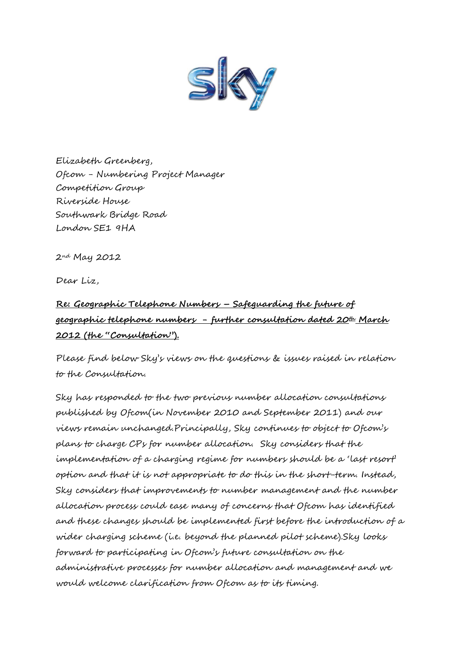

Elizabeth Greenberg, Ofcom - Numbering Project Manager Competition Group Riverside House Southwark Bridge Road London SE1 9HA

2nd May 2012

Dear Liz,

## **Re: Geographic Telephone Numbers – Safeguarding the future of geographic telephone numbers - further consultation dated 20th March 2012 (the "Consultation").**

Please find below Sky's views on the questions & issues raised in relation to the Consultation.

Sky has responded to the two previous number allocation consultations published by Ofcom(in November 2010 and September 2011) and our views remain unchanged.Principally, Sky continues to object to Ofcom's plans to charge CPs for number allocation. Sky considers that the implementation of a charging regime for numbers should be a 'last resort' option and that it is not appropriate to do this in the short-term. Instead, Sky considers that improvements to number management and the number allocation process could ease many of concerns that Ofcom has identified and these changes should be implemented first before the introduction of a wider charging scheme (i.e. beyond the planned pilot scheme).Sky looks forward to participating in Ofcom's future consultation on the administrative processes for number allocation and management and we would welcome clarification from Ofcom as to its timing.